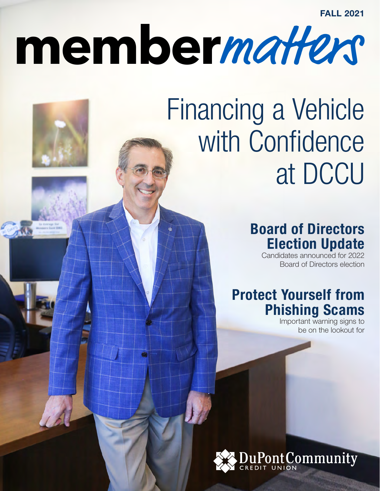# **member**matters

# Financing a Vehicle with Confidence at DCCU

# Board of Directors Election Update

Candidates announced for 2022 Board of Directors election

# Protect Yourself from Phishing Scams

Important warning signs to be on the lookout for

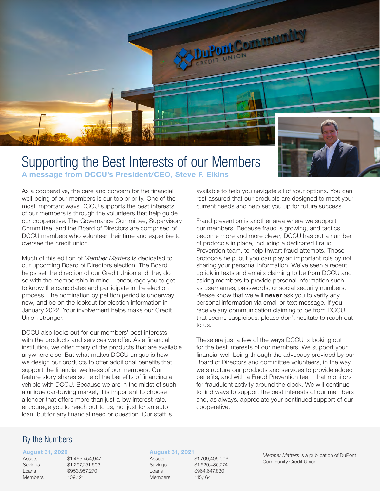

#### Supporting the Best Interests of our Members A message from DCCU's President/CEO, Steve F. Elkins

available to help you navigate all of your options. You can

As a cooperative, the care and concern for the financial well-being of our members is our top priority. One of the most important ways DCCU supports the best interests of our members is through the volunteers that help guide our cooperative. The Governance Committee, Supervisory Committee, and the Board of Directors are comprised of DCCU members who volunteer their time and expertise to oversee the credit union.

Much of this edition of *Member Matters* is dedicated to our upcoming Board of Directors election. The Board helps set the direction of our Credit Union and they do so with the membership in mind. I encourage you to get to know the candidates and participate in the election process. The nomination by petition period is underway now, and be on the lookout for election information in January 2022. Your involvement helps make our Credit Union stronger.

DCCU also looks out for our members' best interests with the products and services we offer. As a financial institution, we offer many of the products that are available anywhere else. But what makes DCCU unique is how we design our products to offer additional benefits that support the financial wellness of our members. Our feature story shares some of the benefits of financing a vehicle with DCCU. Because we are in the midst of such a unique car-buying market, it is important to choose a lender that offers more than just a low interest rate. I encourage you to reach out to us, not just for an auto loan, but for any financial need or question. Our staff is

Fraud prevention is another area where we support our members. Because fraud is growing, and tactics become more and more clever, DCCU has put a number of protocols in place, including a dedicated Fraud Prevention team, to help thwart fraud attempts. Those protocols help, but you can play an important role by not sharing your personal information. We've seen a recent uptick in texts and emails claiming to be from DCCU and asking members to provide personal information such as usernames, passwords, or social security numbers. Please know that we will **never** ask you to verify any personal information via email or text message. If you receive any communication claiming to be from DCCU that seems suspicious, please don't hesitate to reach out to us.

rest assured that our products are designed to meet your current needs and help set you up for future success.

These are just a few of the ways DCCU is looking out for the best interests of our members. We support your financial well-being through the advocacy provided by our Board of Directors and committee volunteers, in the way we structure our products and services to provide added benefits, and with a Fraud Prevention team that monitors for fraudulent activity around the clock. We will continue to find ways to support the best interests of our members and, as always, appreciate your continued support of our cooperative.

#### By the Numbers

#### August 31, 2020

Members 109,121

Assets \$1,465,454,947 Savings \$1,297,251,603 Loans \$953,957,270

#### August 31, 2021

Members 115,164

Assets \$1,709,405,006 Savings \$1,529,436,774 Loans \$964,647,830

*Member Matters* is a publication of DuPont Community Credit Union.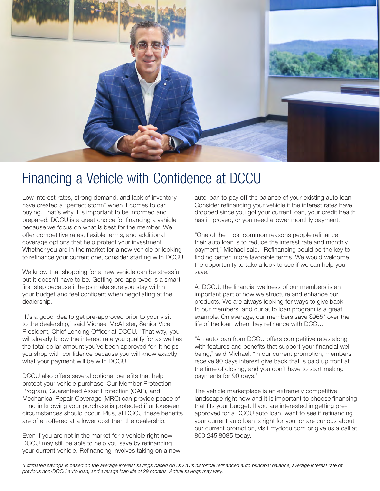

### Financing a Vehicle with Confidence at DCCU

Low interest rates, strong demand, and lack of inventory have created a "perfect storm" when it comes to car buying. That's why it is important to be informed and prepared. DCCU is a great choice for financing a vehicle because we focus on what is best for the member. We offer competitive rates, flexible terms, and additional coverage options that help protect your investment. Whether you are in the market for a new vehicle or looking to refinance your current one, consider starting with DCCU.

We know that shopping for a new vehicle can be stressful, but it doesn't have to be. Getting pre-approved is a smart first step because it helps make sure you stay within your budget and feel confident when negotiating at the dealership.

"It's a good idea to get pre-approved prior to your visit to the dealership," said Michael McAllister, Senior Vice President, Chief Lending Officer at DCCU. "That way, you will already know the interest rate you qualify for as well as the total dollar amount you've been approved for. It helps you shop with confidence because you will know exactly what your payment will be with DCCU."

DCCU also offers several optional benefits that help protect your vehicle purchase. Our Member Protection Program, Guaranteed Asset Protection (GAP), and Mechanical Repair Coverage (MRC) can provide peace of mind in knowing your purchase is protected if unforeseen circumstances should occur. Plus, at DCCU these benefits are often offered at a lower cost than the dealership.

Even if you are not in the market for a vehicle right now, DCCU may still be able to help you save by refinancing your current vehicle. Refinancing involves taking on a new

auto loan to pay off the balance of your existing auto loan. Consider refinancing your vehicle if the interest rates have dropped since you got your current loan, your credit health has improved, or you need a lower monthly payment.

"One of the most common reasons people refinance their auto loan is to reduce the interest rate and monthly payment," Michael said. "Refinancing could be the key to finding better, more favorable terms. We would welcome the opportunity to take a look to see if we can help you save."

At DCCU, the financial wellness of our members is an important part of how we structure and enhance our products. We are always looking for ways to give back to our members, and our auto loan program is a great example. On average, our members save \$965\* over the life of the loan when they refinance with DCCU.

"An auto loan from DCCU offers competitive rates along with features and benefits that support your financial wellbeing," said Michael. "In our current promotion, members receive 90 days interest give back that is paid up front at the time of closing, and you don't have to start making payments for 90 days."

The vehicle marketplace is an extremely competitive landscape right now and it is important to choose financing that fits your budget. If you are interested in getting preapproved for a DCCU auto loan, want to see if refinancing your current auto loan is right for you, or are curious about our current promotion, visit mydccu.com or give us a call at 800.245.8085 today.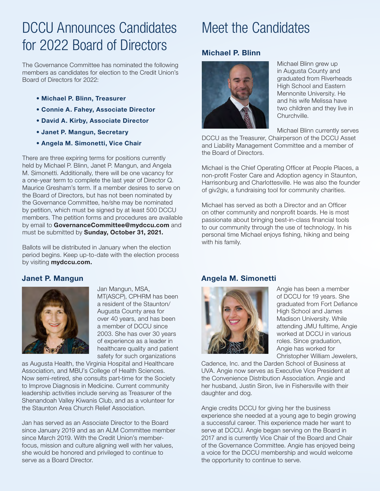# DCCU Announces Candidates for 2022 Board of Directors

The Governance Committee has nominated the following members as candidates for election to the Credit Union's Board of Directors for 2022:

- Michael P. Blinn, Treasurer
- Connie A. Fahey, Associate Director
- David A. Kirby, Associate Director
- Janet P. Mangun, Secretary
- Angela M. Simonetti, Vice Chair

There are three expiring terms for positions currently held by Michael P. Blinn, Janet P. Mangun, and Angela M. Simonetti. Additionally, there will be one vacancy for a one-year term to complete the last year of Director Q. Maurice Gresham's term. If a member desires to serve on the Board of Directors, but has not been nominated by the Governance Committee, he/she may be nominated by petition, which must be signed by at least 500 DCCU members. The petition forms and procedures are available by email to GovernanceCommittee@mydccu.com and must be submitted by Sunday, October 31, 2021.

Ballots will be distributed in January when the election period begins. Keep up-to-date with the election process by visiting **mydccu.com.** 

#### Janet P. Mangun



Jan Mangun, MSA, MT(ASCP), CPHRM has been a resident of the Staunton/ Augusta County area for over 40 years, and has been a member of DCCU since 2003. She has over 30 years of experience as a leader in healthcare quality and patient safety for such organizations

as Augusta Health, the Virginia Hospital and Healthcare Association, and MBU's College of Health Sciences. Now semi-retired, she consults part-time for the Society to Improve Diagnosis in Medicine. Current community leadership activities include serving as Treasurer of the Shenandoah Valley Kiwanis Club, and as a volunteer for the Staunton Area Church Relief Association.

Jan has served as an Associate Director to the Board since January 2019 and as an ALM Committee member since March 2019. With the Credit Union's memberfocus, mission and culture aligning well with her values, she would be honored and privileged to continue to serve as a Board Director.

## Meet the Candidates

#### Michael P. Blinn



Michael Blinn grew up in Augusta County and graduated from Riverheads High School and Eastern Mennonite University. He and his wife Melissa have two children and they live in Churchville.

Michael Blinn currently serves

DCCU as the Treasurer, Chairperson of the DCCU Asset and Liability Management Committee and a member of the Board of Directors.

Michael is the Chief Operating Officer at People Places, a non-profit Foster Care and Adoption agency in Staunton, Harrisonburg and Charlottesville. He was also the founder of giv2giv, a fundraising tool for community charities.

Michael has served as both a Director and an Officer on other community and nonprofit boards. He is most passionate about bringing best-in-class financial tools to our community through the use of technology. In his personal time Michael enjoys fishing, hiking and being with his family.

#### Angela M. Simonetti



Angie has been a member of DCCU for 19 years. She graduated from Fort Defiance High School and James Madison University. While attending JMU fulltime, Angie worked at DCCU in various roles. Since graduation, Angie has worked for Christopher William Jewelers,

Cadence, Inc. and the Darden School of Business at UVA. Angie now serves as Executive Vice President at the Convenience Distribution Association. Angie and her husband, Justin Siron, live in Fishersville with their daughter and dog.

Angie credits DCCU for giving her the business experience she needed at a young age to begin growing a successful career. This experience made her want to serve at DCCU. Angie began serving on the Board in 2017 and is currently Vice Chair of the Board and Chair of the Governance Committee. Angie has enjoyed being a voice for the DCCU membership and would welcome the opportunity to continue to serve.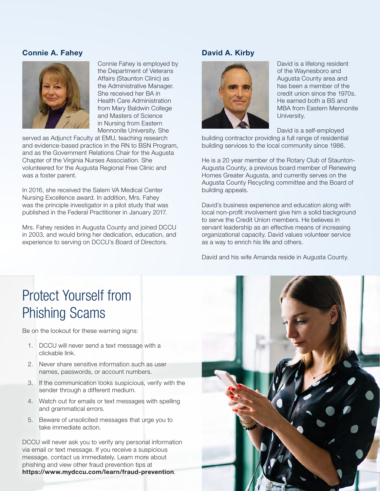#### Connie A. Fahey



Connie Fahey is employed by the Department of Veterans Affairs (Staunton Clinic) as the Administrative Manager. She received her BA in Health Care Administration from Mary Baldwin College and Masters of Science in Nursing from Eastern Mennonite University. She

served as Adjunct Faculty at EMU, teaching research and evidence-based practice in the RN to BSN Program, and as the Government Relations Chair for the Augusta Chapter of the Virginia Nurses Association. She volunteered for the Augusta Regional Free Clinic and was a foster parent.

In 2016, she received the Salem VA Medical Center Nursing Excellence award. In addition, Mrs. Fahey was the principle investigator in a pilot study that was published in the Federal Practitioner in January 2017.

Mrs. Fahey resides in Augusta County and joined DCCU in 2003, and would bring her dedication, education, and experience to serving on DCCU's Board of Directors.

#### David A. Kirby



David is a lifelong resident of the Waynesboro and Augusta County area and has been a member of the credit union since the 1970s. He earned both a BS and MBA from Eastern Mennonite University.

David is a self-employed

building contractor providing a full range of residential building services to the local community since 1986.

He is a 20 year member of the Rotary Club of Staunton-Augusta County, a previous board member of Renewing Homes Greater Augusta, and currently serves on the Augusta County Recycling committee and the Board of building appeals.

David's business experience and education along with local non-profit involvement give him a solid background to serve the Credit Union members. He believes in servant leadership as an effective means of increasing organizational capacity. David values volunteer service as a way to enrich his life and others.

David and his wife Amanda reside in Augusta County.

# Protect Yourself from Phishing Scams

Be on the lookout for these warning signs:

- 1. DCCU will never send a text message with a clickable link.
- 2. Never share sensitive information such as user names, passwords, or account numbers.
- 3. If the communication looks suspicious, verify with the sender through a different medium.
- 4. Watch out for emails or text messages with spelling and grammatical errors.
- 5. Beware of unsolicited messages that urge you to take immediate action.

DCCU will never ask you to verify any personal information via email or text message. If you receive a suspicious message, contact us immediately. Learn more about phishing and view other fraud prevention tips at https://www.mydccu.com/learn/fraud-prevention.